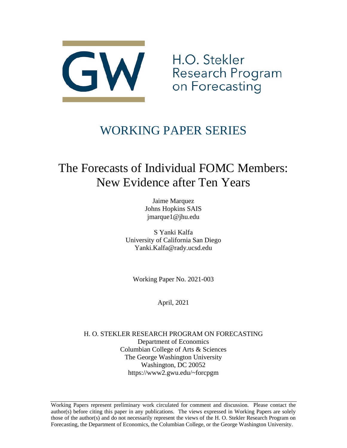

H.O. Stekler Research Program on Forecasting

# WORKING PAPER SERIES

# The Forecasts of Individual FOMC Members: New Evidence after Ten Years

Jaime Marquez Johns Hopkins SAIS jmarque1@jhu.edu

S Yanki Kalfa University of California San Diego Yanki.Kalfa@rady.ucsd.edu

Working Paper No. 2021-003

April, 2021

H. O. STEKLER RESEARCH PROGRAM ON FORECASTING Department of Economics Columbian College of Arts & Sciences The George Washington University Washington, DC 20052 https://www2.gwu.edu/~forcpgm

Working Papers represent preliminary work circulated for comment and discussion. Please contact the author(s) before citing this paper in any publications. The views expressed in Working Papers are solely those of the author(s) and do not necessarily represent the views of the H. O. Stekler Research Program on Forecasting, the Department of Economics, the Columbian College, or the George Washington University.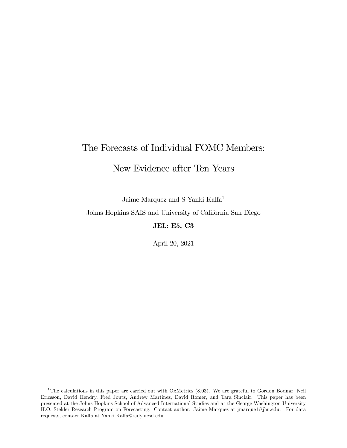# The Forecasts of Individual FOMC Members:

# New Evidence after Ten Years

Jaime Marquez and S Yanki Kalfa1

Johns Hopkins SAIS and University of California San Diego

JEL: E5, C3

April 20, 2021

<sup>&</sup>lt;sup>1</sup>The calculations in this paper are carried out with OxMetrics (8.03). We are grateful to Gordon Bodnar, Neil Ericsson, David Hendry, Fred Joutz, Andrew Martinez, David Romer, and Tara Sinclair. This paper has been presented at the Johns Hopkins School of Advanced International Studies and at the George Washington University H.O. Stekler Research Program on Forecasting. Contact author: Jaime Marquez at jmarque1@jhu.edu. For data requests, contact Kalfa at Yanki.Kalfa@rady.ucsd.edu.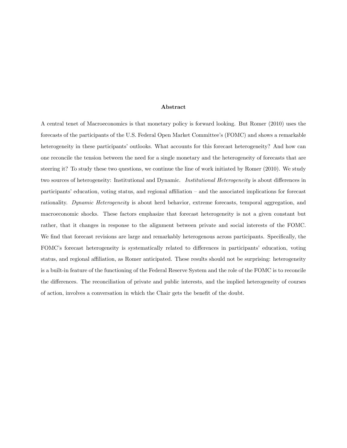#### Abstract

A central tenet of Macroeconomics is that monetary policy is forward looking. But Romer (2010) uses the forecasts of the participants of the U.S. Federal Open Market Committee's (FOMC) and shows a remarkable heterogeneity in these participants' outlooks. What accounts for this forecast heterogeneity? And how can one reconcile the tension between the need for a single monetary and the heterogeneity of forecasts that are steering it? To study these two questions, we continue the line of work initiated by Romer (2010). We study two sources of heterogeneity: Institutional and Dynamic. Institutional Heterogeneity is about differences in participants' education, voting status, and regional affiliation — and the associated implications for forecast rationality. Dynamic Heterogeneity is about herd behavior, extreme forecasts, temporal aggregation, and macroeconomic shocks. These factors emphasize that forecast heterogeneity is not a given constant but rather, that it changes in response to the alignment between private and social interests of the FOMC. We find that forecast revisions are large and remarkably heterogenous across participants. Specifically, the FOMC's forecast heterogeneity is systematically related to differences in participants' education, voting status, and regional affiliation, as Romer anticipated. These results should not be surprising: heterogeneity is a built-in feature of the functioning of the Federal Reserve System and the role of the FOMC is to reconcile the differences. The reconciliation of private and public interests, and the implied heterogeneity of courses of action, involves a conversation in which the Chair gets the benefit of the doubt.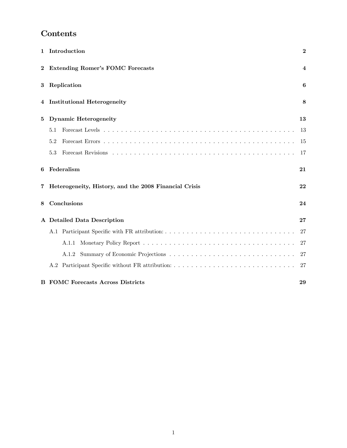# Contents

| 1        | Introduction                                          | $\bf{2}$ |
|----------|-------------------------------------------------------|----------|
| $\bf{2}$ | <b>Extending Romer's FOMC Forecasts</b>               | 4        |
| 3        | Replication                                           | 6        |
| 4        | <b>Institutional Heterogeneity</b>                    | 8        |
| 5        | <b>Dynamic Heterogeneity</b>                          | 13       |
|          | 5.1                                                   | 13       |
|          | 5.2                                                   | 15       |
|          | 5.3                                                   | 17       |
| 6        | Federalism                                            | 21       |
| 7        | Heterogeneity, History, and the 2008 Financial Crisis | 22       |
| 8        | Conclusions                                           | 24       |
|          | A Detailed Data Description                           | 27       |
|          | A.1                                                   | 27       |
|          | A.1.1                                                 | 27       |
|          | A.1.2                                                 | 27       |
|          |                                                       | 27       |
|          | <b>B</b> FOMC Forecasts Across Districts              | 29       |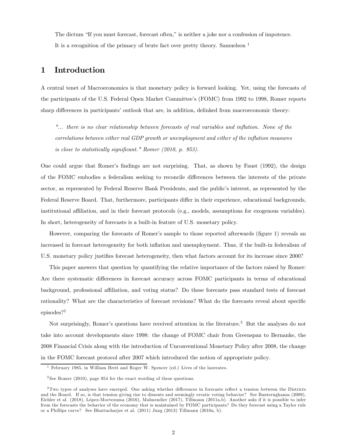The dictum "If you must forecast, forecast often," is neither a joke nor a confession of impotence. It is a recognition of the primacy of brute fact over pretty theory. Samuelson <sup>1</sup>

# 1 Introduction

A central tenet of Macroeconomics is that monetary policy is forward looking. Yet, using the forecasts of the participants of the U.S. Federal Open Market Committee's (FOMC) from 1992 to 1998, Romer reports sharp differences in participants' outlook that are, in addition, delinked from macroeconomic theory:

"... there is no clear relationship between forecasts of real variables and inflation. None of the correlations between either real GDP growth or unemployment and either of the inflation measures is close to statistically significant." Romer (2010, p. 953).

One could argue that Romer's findings are not surprising. That, as shown by Faust (1992), the design of the FOMC embodies a federalism seeking to reconcile differences between the interests of the private sector, as represented by Federal Reserve Bank Presidents, and the public's interest, as represented by the Federal Reserve Board. That, furthermore, participants differ in their experience, educational backgrounds, institutional affiliation, and in their forecast protocols (e.g., models, assumptions for exogenous variables). In short, heterogeneity of forecasts is a built-in feature of U.S. monetary policy.

However, comparing the forecasts of Romer's sample to those reported afterwards (figure 1) reveals an increased in forecast heterogeneity for both inflation and unemployment. Thus, if the built-in federalism of U.S. monetary policy justifies forecast heterogeneity, then what factors account for its increase since 2000?

This paper answers that question by quantifying the relative importance of the factors raised by Romer: Are there systematic differences in forecast accuracy across FOMC participants in terms of educational background, professional affiliation, and voting status? Do these forecasts pass standard tests of forecast rationality? What are the characteristics of forecast revisions? What do the forecasts reveal about specific episodes?2

Not surprisingly, Romer's questions have received attention in the literature.3 But the analyses do not take into account developments since 1998: the change of FOMC chair from Greenspan to Bernanke, the 2008 Financial Crisis along with the introduction of Unconventional Monetary Policy after 2008, the change in the FOMC forecast protocol after 2007 which introduced the notion of appropriate policy.

<sup>&</sup>lt;sup>1</sup> February 1985, in William Breit and Roger W. Spencer (ed.) Lives of the laureates.

<sup>2</sup> See Romer (2010), page 954 for the exact wording of these questions.

<sup>3</sup>Two types of analyses have emerged. One asking whether differences in forecasts reflect a tension between the Districts and the Board. If so, is that tension giving rise to dissents and seemingly erratic voting behavior? See Banternghansa (2009), Eichler et al. (2018), López-Moctezuma (2016), Malmendier (2017), Tillmann (2011a,b). Another asks if it is possible to infer from the forecasts the behavior of the economy that is maintained by FOMC participants? Do they forecast using a Taylor rule or a Phillips curve? See Bhattacharjee et al. (2011) Jung (2013) Tillmann (2010a, b).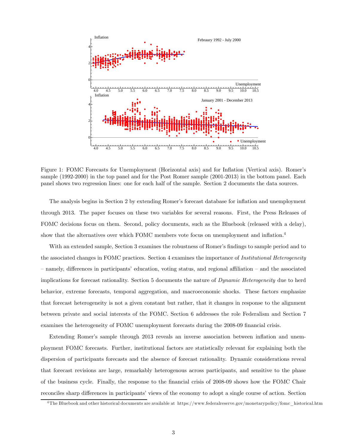

Figure 1: FOMC Forecasts for Unemployment (Horizontal axis) and for Inflation (Vertical axis). Romer's sample (1992-2000) in the top panel and for the Post Romer sample (2001-2013) in the bottom panel. Each panel shows two regression lines: one for each half of the sample. Section 2 documents the data sources.

The analysis begins in Section 2 by extending Romer's forecast database for inflation and unemployment through 2013. The paper focuses on these two variables for several reasons. First, the Press Releases of FOMC decisions focus on them. Second, policy documents, such as the Bluebook (released with a delay), show that the alternatives over which FOMC members vote focus on unemployment and inflation.<sup>4</sup>

With an extended sample, Section 3 examines the robustness of Romer's findings to sample period and to the associated changes in FOMC practices. Section 4 examines the importance of Institutional Heterogeneity — namely, differences in participants' education, voting status, and regional affiliation — and the associated implications for forecast rationality. Section 5 documents the nature of *Dynamic Heterogeneity* due to herd behavior, extreme forecasts, temporal aggregation, and macroeconomic shocks. These factors emphasize that forecast heterogeneity is not a given constant but rather, that it changes in response to the alignment between private and social interests of the FOMC. Section 6 addresses the role Federalism and Section 7 examines the heterogeneity of FOMC unemployment forecasts during the 2008-09 financial crisis.

Extending Romer's sample through 2013 reveals an inverse association between inflation and unemployment FOMC forecasts. Further, institutional factors are statistically relevant for explaining both the dispersion of participants forecasts and the absence of forecast rationality. Dynamic considerations reveal that forecast revisions are large, remarkably heterogenous across participants, and sensitive to the phase of the business cycle. Finally, the response to the financial crisis of 2008-09 shows how the FOMC Chair reconciles sharp differences in participants' views of the economy to adopt a single course of action. Section

<sup>&</sup>lt;sup>4</sup>The Bluebook and other historical documents are available at https://www.federalreserve.gov/monetarypolicy/fomc\_historical.htm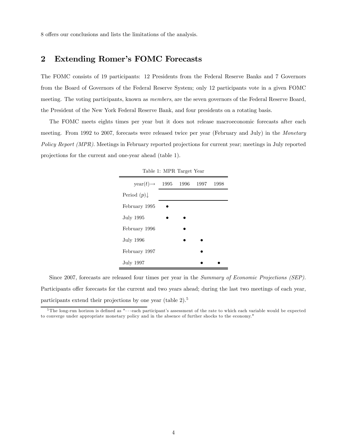8 offers our conclusions and lists the limitations of the analysis.

### 2 Extending Romer's FOMC Forecasts

The FOMC consists of 19 participants: 12 Presidents from the Federal Reserve Banks and 7 Governors from the Board of Governors of the Federal Reserve System; only 12 participants vote in a given FOMC meeting. The voting participants, known as *members*, are the seven governors of the Federal Reserve Board, the President of the New York Federal Reserve Bank, and four presidents on a rotating basis.

The FOMC meets eights times per year but it does not release macroeconomic forecasts after each meeting. From 1992 to 2007, forecasts were released twice per year (February and July) in the Monetary Policy Report (MPR). Meetings in February reported projections for current year; meetings in July reported projections for the current and one-year ahead (table 1).

| Table 1: MPR Target Year        |  |  |      |      |  |  |  |  |  |  |  |
|---------------------------------|--|--|------|------|--|--|--|--|--|--|--|
| $year(t) \rightarrow 1995$ 1996 |  |  | 1997 | 1998 |  |  |  |  |  |  |  |
| Period $(p)$                    |  |  |      |      |  |  |  |  |  |  |  |
| February 1995                   |  |  |      |      |  |  |  |  |  |  |  |
| July 1995                       |  |  |      |      |  |  |  |  |  |  |  |
| February 1996                   |  |  |      |      |  |  |  |  |  |  |  |
| July 1996                       |  |  |      |      |  |  |  |  |  |  |  |
| February 1997                   |  |  |      |      |  |  |  |  |  |  |  |
| July 1997                       |  |  |      |      |  |  |  |  |  |  |  |

Since 2007, forecasts are released four times per year in the Summary of Economic Projections (SEP). Participants offer forecasts for the current and two years ahead; during the last two meetings of each year, participants extend their projections by one year (table 2).<sup>5</sup>

 $5$ The long-run horizon is defined as " $\cdots$  each participant's assessment of the rate to which each variable would be expected to converge under appropriate monetary policy and in the absence of further shocks to the economy."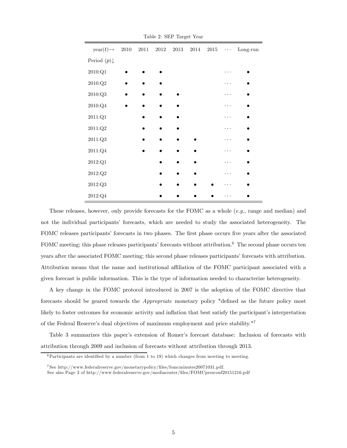| $year(t) \rightarrow$  | $2010\,$ | $2011\,$ | $2012\,$ | $2013\,$ | 2014 | $\,2015$ | $\cdots$ | $Long-run$ |
|------------------------|----------|----------|----------|----------|------|----------|----------|------------|
| Period $(p)\downarrow$ |          |          |          |          |      |          |          |            |
| $2010:Q1$              |          |          |          |          |      |          |          |            |
| $2010$ :Q $2$          |          |          |          |          |      |          |          |            |
| $2010:Q3$              |          |          |          |          |      |          |          |            |
| $2010$ :Q $4$          |          |          |          |          |      |          | .        |            |
| $2011:Q1$              |          |          |          |          |      |          |          |            |
| $2011:Q2$              |          |          |          |          |      |          |          |            |
| $2011:Q3$              |          |          |          |          |      |          | .        |            |
| $2011:Q4$              |          |          |          |          |      |          |          |            |
| $2012:Q1$              |          |          |          |          |      |          |          |            |
| $2012:Q2$              |          |          |          |          |      |          |          |            |
| $2012:Q3$              |          |          |          |          |      |          |          |            |
| $2012:Q4$              |          |          |          |          |      |          |          |            |

Table 2: SEP Target Year

These releases, however, only provide forecasts for the FOMC as a whole  $(e.g.,\n$  range and median) and not the individual participants' forecasts, which are needed to study the associated heterogeneity. The FOMC releases participants' forecasts in two phases. The first phase occurs five years after the associated FOMC meeting; this phase releases participants' forecasts without attribution.<sup>6</sup> The second phase occurs ten years after the associated FOMC meeting; this second phase releases participants' forecasts with attribution. Attribution means that the name and institutional affiliation of the FOMC participant associated with a given forecast is public information. This is the type of information needed to characterize heterogeneity.

A key change in the FOMC protocol introduced in 2007 is the adoption of the FOMC directive that forecasts should be geared towards the Appropriate monetary policy "defined as the future policy most likely to foster outcomes for economic activity and inflation that best satisfy the participant's interpretation of the Federal Reserve's dual objectives of maximum employment and price stability."7

Table 3 summarizes this paper's extension of Romer's forecast database: Inclusion of forecasts with attribution through 2009 and inclusion of forecasts without attribution through 2013.

 $6$ Participants are identified by a number (from 1 to 19) which changes from meeting to meeting.

<sup>7</sup> See http://www.federalreserve.gov/monetarypolicy/files/fomcminutes20071031.pdf.

See also Page 3 of http://www.federalreserve.gov/mediacenter/files/FOMCpresconf20151216.pdf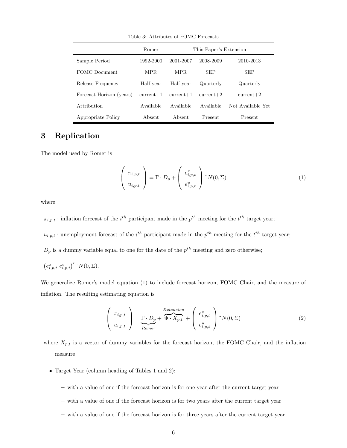Table 3: Attributes of FOMC Forecasts

|                          | Romer       | This Paper's Extension |             |                   |  |  |  |
|--------------------------|-------------|------------------------|-------------|-------------------|--|--|--|
| Sample Period            | 1992-2000   | 2001-2007              | 2008-2009   | 2010-2013         |  |  |  |
| FOMC Document            | MPR.        | MPR.                   | <b>SEP</b>  | <b>SEP</b>        |  |  |  |
| Release Frequency        | Half year   | Half year              | Quarterly   | Quarterly         |  |  |  |
| Forecast Horizon (years) | $current+1$ | $current+1$            | $current+2$ | $current+2$       |  |  |  |
| Attribution              | Available   | Available              | Available   | Not Available Yet |  |  |  |
| Appropriate Policy       | Absent.     | Absent                 | Present     | Present           |  |  |  |

# 3 Replication

The model used by Romer is

$$
\begin{pmatrix} \pi_{i,p,t} \\ u_{i,p,t} \end{pmatrix} = \Gamma \cdot D_p + \begin{pmatrix} e_{i,p,t}^{\pi} \\ e_{i,p,t}^u \end{pmatrix} \gamma(0,\Sigma)
$$
 (1)

where

 $\pi_{i,p,t}$ : inflation forecast of the *i*<sup>th</sup> participant made in the *p*<sup>th</sup> meeting for the *i*<sup>th</sup> target year;

 $u_{i,p,t}$ : unemployment forecast of the  $i^{th}$  participant made in the  $p^{th}$  meeting for the  $t^{th}$  target year;

 $D_p$  is a dummy variable equal to one for the date of the  $p^{th}$  meeting and zero otherwise;

$$
\left(e_{i,p,t}^{\pi} e_{i,p,t}^{u}\right)'^{\sim} N(0,\Sigma).
$$

We generalize Romer's model equation (1) to include forecast horizon, FOMC Chair, and the measure of inflation. The resulting estimating equation is

$$
\begin{pmatrix} \pi_{i,p,t} \\ u_{i,p,t} \end{pmatrix} = \underbrace{\Gamma \cdot D_p}_{Romer} + \overbrace{\Phi \cdot X_{p,t}}^{Extension} + \begin{pmatrix} e_{i,p,t}^{\pi} \\ e_{i,p,t}^{u} \end{pmatrix} \cdot N(0, \Sigma)
$$
 (2)

where  $X_{p,t}$  is a vector of dummy variables for the forecast horizon, the FOMC Chair, and the inflation measure

- Target Year (column heading of Tables 1 and 2):
	- with a value of one if the forecast horizon is for one year after the current target year
	- with a value of one if the forecast horizon is for two years after the current target year
	- with a value of one if the forecast horizon is for three years after the current target year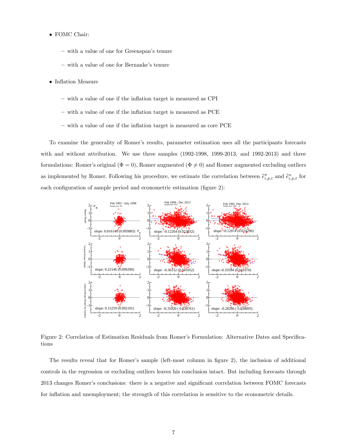- FOMC Chair:
	- with a value of one for Greenspan's tenure
	- with a value of one for Bernanke's tenure
- Inflation Measure
	- with a value of one if the inflation target is measured as CPI
	- with a value of one if the inflation target is measured as PCE
	- with a value of one if the inflation target is measured as core PCE

To examine the generality of Romer's results, parameter estimation uses all the participants forecasts with and without attribution. We use three samples (1992-1998, 1999-2013, and 1992-2013) and three formulations: Romer's original ( $\Phi = 0$ ), Romer augmented ( $\Phi \neq 0$ ) and Romer augmented excluding outliers as implemented by Romer. Following his procedure, we estimate the correlation between  $\hat{e}_{i,p,t}^{\pi}$  and  $\hat{e}_{i,p,t}^u$  for each configuration of sample period and econometric estimation (figure 2):



Figure 2: Correlation of Estimation Residuals from Romer's Formulation: Alternative Dates and Specifications

The results reveal that for Romer's sample (left-most column in figure 2), the inclusion of additional controls in the regression or excluding outliers leaves his conclusion intact. But including forecasts through 2013 changes Romer's conclusions: there is a negative and significant correlation between FOMC forecasts for inflation and unemployment; the strength of this correlation is sensitive to the econometric details.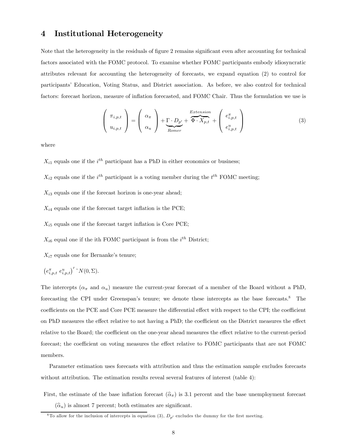### 4 Institutional Heterogeneity

Note that the heterogeneity in the residuals of figure 2 remains significant even after accounting for technical factors associated with the FOMC protocol. To examine whether FOMC participants embody idiosyncratic attributes relevant for accounting the heterogeneity of forecasts, we expand equation (2) to control for participants' Education, Voting Status, and District association. As before, we also control for technical factors: forecast horizon, measure of inflation forecasted, and FOMC Chair. Thus the formulation we use is

$$
\begin{pmatrix} \pi_{i,p,t} \\ u_{i,p,t} \end{pmatrix} = \begin{pmatrix} \alpha_{\pi} \\ \alpha_{u} \end{pmatrix} + \underbrace{\Gamma \cdot D_{p'}}_{Romer} + \overbrace{\Phi \cdot X_{p,t}}^{Extension} + \begin{pmatrix} e_{i,p,t}^{\pi} \\ e_{i,p,t}^u \end{pmatrix}
$$
 (3)

where

 $X_{i1}$  equals one if the  $i^{th}$  participant has a PhD in either economics or business;

 $X_{i2}$  equals one if the  $i^{th}$  participant is a voting member during the  $t^{th}$  FOMC meeting;

 $X_{i3}$  equals one if the forecast horizon is one-year ahead;

 $X_{i4}$  equals one if the forecast target inflation is the PCE;

 $X_{i5}$  equals one if the forecast target inflation is Core PCE;

 $X_{i6}$  equal one if the ith FOMC participant is from the  $i<sup>th</sup>$  District;

 $X_{i7}$  equals one for Bernanke's tenure;

$$
\left(e_{i,p,t}^{\pi} e_{i,p,t}^{u}\right)' \, {}^{\circ}N(0,\Sigma).
$$

The intercepts  $(\alpha_{\pi}$  and  $\alpha_u)$  measure the current-year forecast of a member of the Board without a PhD, forecasting the CPI under Greenspan's tenure; we denote these intercepts as the base forecasts.8 The coefficients on the PCE and Core PCE measure the differential effect with respect to the CPI; the coefficient on PhD measures the effect relative to not having a PhD; the coefficient on the District measures the effect relative to the Board; the coefficient on the one-year ahead measures the effect relative to the current-period forecast; the coefficient on voting measures the effect relative to FOMC participants that are not FOMC members.

Parameter estimation uses forecasts with attribution and thus the estimation sample excludes forecasts without attribution. The estimation results reveal several features of interest (table 4):

First, the estimate of the base inflation forecast  $(\hat{\alpha}_{\pi})$  is 3.1 percent and the base unemployment forecast

 $(\widehat{\alpha}_u)$  is almost 7 percent; both estimates are significant.

<sup>&</sup>lt;sup>8</sup>To allow for the inclusion of intercepts in equation (3),  $D_{p'}$  excludes the dummy for the first meeting.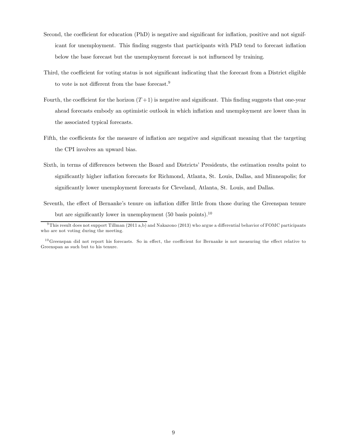- Second, the coefficient for education (PhD) is negative and significant for inflation, positive and not significant for unemployment. This finding suggests that participants with PhD tend to forecast inflation below the base forecast but the unemployment forecast is not influenced by training.
- Third, the coefficient for voting status is not significant indicating that the forecast from a District eligible to vote is not different from the base forecast.<sup>9</sup>
- Fourth, the coefficient for the horizon  $(T+1)$  is negative and significant. This finding suggests that one-year ahead forecasts embody an optimistic outlook in which inflation and unemployment are lower than in the associated typical forecasts.
- Fifth, the coefficients for the measure of inflation are negative and significant meaning that the targeting the CPI involves an upward bias.
- Sixth, in terms of differences between the Board and Districts' Presidents, the estimation results point to significantly higher inflation forecasts for Richmond, Atlanta, St. Louis, Dallas, and Minneapolis; for significantly lower unemployment forecasts for Cleveland, Atlanta, St. Louis, and Dallas.
- Seventh, the effect of Bernanke's tenure on inflation differ little from those during the Greenspan tenure but are significantly lower in unemployment (50 basis points).10

 $9$ This result does not support Tillman (2011 a,b) and Nakazono (2013) who argue a differential behavior of FOMC participants who are not voting during the meeting.

 $10$ Greenspan did not report his forecasts. So in effect, the coefficient for Bernanke is not measuring the effect relative to Greenspan as such but to his tenure.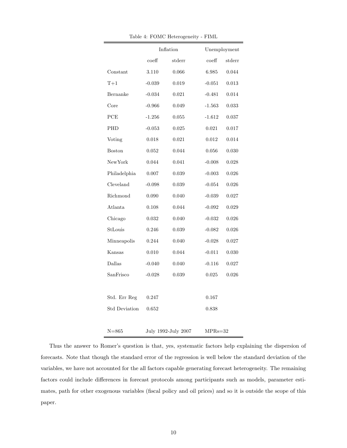|                      |                  | Inflation           | Unemployment     |             |  |  |
|----------------------|------------------|---------------------|------------------|-------------|--|--|
|                      | $\mathrm{coeff}$ | $_{\text{stderr}}$  | $\mathrm{coeff}$ | stderr      |  |  |
| Constant             | 3.110            | 0.066               | 6.985            | 0.044       |  |  |
| $T+1$                | $-0.039$         | 0.019               | $-0.051$         | 0.013       |  |  |
| Bernanke             | $-0.034$         | 0.021               | $-0.481$         | 0.014       |  |  |
| Core                 | $-0.966$         | 0.049               | $-1.563$         | $\,0.033\,$ |  |  |
| PCE                  | $-1.256$         | 0.055               | $-1.612$         | 0.037       |  |  |
| PHD                  | $-0.053$         | 0.025               | 0.021            | 0.017       |  |  |
| Voting               | 0.018            | 0.021               | 0.012            | 0.014       |  |  |
| <b>Boston</b>        | 0.052            | 0.044               | 0.056            | 0.030       |  |  |
| ${\hbox{NewYork}}$   | 0.044            | 0.041               | $-0.008$         | 0.028       |  |  |
| Philadelphia         | 0.007            | 0.039               | $-0.003$         | 0.026       |  |  |
| Cleveland            | $-0.098$         | 0.039               | $-0.054$         | 0.026       |  |  |
| Richmond             | 0.090            | 0.040               | $-0.039$         | 0.027       |  |  |
| Atlanta              | 0.108            | 0.044               | $-0.092$         | 0.029       |  |  |
| Chicago              | 0.032            | 0.040               | $-0.032$         | 0.026       |  |  |
| StLouis              | 0.246            | 0.039               | $-0.082$         | 0.026       |  |  |
| Minneapolis          | 0.244            | 0.040               | $-0.028$         | 0.027       |  |  |
| Kansas               | $0.010\,$        | 0.044               | $-0.011$         | 0.030       |  |  |
| Dallas               | $-0.040$         | 0.040               | $-0.116$         | $0.027\,$   |  |  |
| SanFrisco            | $-0.028$         | 0.039               | 0.025            | 0.026       |  |  |
|                      |                  |                     |                  |             |  |  |
| Std. Err Reg         | $0.247\,$        |                     | 0.167            |             |  |  |
| <b>Std Deviation</b> | 0.652            |                     | 0.838            |             |  |  |
|                      |                  |                     |                  |             |  |  |
| $N = 865$            |                  | July 1992-July 2007 | $MPRs = 32$      |             |  |  |

Table 4: FOMC Heterogeneity - FIML

Thus the answer to Romer's question is that, yes, systematic factors help explaining the dispersion of forecasts. Note that though the standard error of the regression is well below the standard deviation of the variables, we have not accounted for the all factors capable generating forecast heterogeneity. The remaining factors could include differences in forecast protocols among participants such as models, parameter estimates, path for other exogenous variables (fiscal policy and oil prices) and so it is outside the scope of this paper.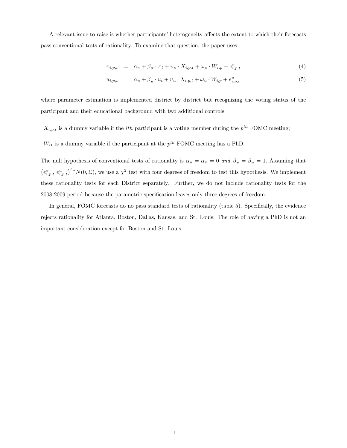A relevant issue to raise is whether participants' heterogeneity affects the extent to which their forecasts pass conventional tests of rationality. To examine that question, the paper uses

$$
\pi_{i,p,t} = \alpha_{\pi} + \beta_{\pi} \cdot \pi_t + \upsilon_{\pi} \cdot X_{i,p,t} + \omega_{\pi} \cdot W_{i,p} + e_{i,p,t}^{\pi}
$$
\n
$$
\tag{4}
$$

$$
u_{i,p,t} = \alpha_u + \beta_u \cdot u_t + v_u \cdot X_{i,p,t} + \omega_u \cdot W_{i,p} + e_{i,p,t}^u \tag{5}
$$

where parameter estimation is implemented district by district but recognizing the voting status of the participant and their educational background with two additional controls:

 $X_{i,p,t}$  is a dummy variable if the *ith* participant is a voting member during the  $p^{th}$  FOMC meeting;

 $W_{i1}$  is a dummy variable if the participant at the  $p^{th}$  FOMC meeting has a PhD.

The null hypothesis of conventional tests of rationality is  $\alpha_u = \alpha_{\pi} = 0$  and  $\beta_{\pi} = \beta_u = 1$ . Assuming that  $(e_{i,p,t}^{\pi} e_{i,p,t}^u)'$ <sup> $\sim N(0,\Sigma)$ , we use a  $\chi^2$  test with four degrees of freedom to test this hypothesis. We implement</sup> these rationality tests for each District separately. Further, we do not include rationality tests for the 2008-2009 period because the parametric specification leaves only three degrees of freedom.

In general, FOMC forecasts do no pass standard tests of rationality (table 5). Specifically, the evidence rejects rationality for Atlanta, Boston, Dallas, Kansas, and St. Louis. The role of having a PhD is not an important consideration except for Boston and St. Louis.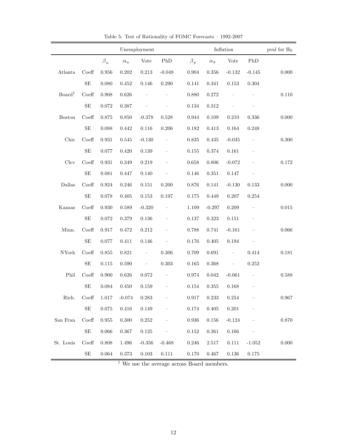|                        |                     |           |                            | Unemployment             |                          |               | Inflation            |                          |                   |           |  |
|------------------------|---------------------|-----------|----------------------------|--------------------------|--------------------------|---------------|----------------------|--------------------------|-------------------|-----------|--|
|                        |                     | $\beta_u$ | $\alpha_u$                 | <b>Vote</b>              | PhD                      | $\beta_{\pi}$ | $\alpha_\pi$         | <b>Vote</b>              | ${\rm PhD}$       |           |  |
| Atlanta                | Coeff               | 0.956     | 0.202                      | 0.213                    | $-0.048$                 | 0.904         | 0.356                | $-0.132$                 | $-0.145$          | $0.000\,$ |  |
|                        | $\operatorname{SE}$ | 0.080     | 0.452                      | $0.146\,$                | 0.290                    | $0.141\,$     | 0.341                | 0.153                    | $0.304\,$         |           |  |
| Board <sup>†</sup>     | Coeff               | 0.908     | 0.626                      |                          |                          | 0.880         | 0.272                |                          |                   | $0.110\,$ |  |
|                        | $\rm SE$            | 0.072     | 0.387                      |                          |                          | 0.134         | 0.312                |                          |                   |           |  |
| <b>Boston</b>          | Coeff               | 0.875     | 0.850                      | $-0.378$                 | 0.528                    | $0.944\,$     | 0.109                | 0.210                    | 0.336             | $0.000\,$ |  |
|                        | $\rm SE$            | 0.088     | 0.442                      | 0.116                    | 0.206                    | 0.182         | 0.413                | 0.164                    | 0.248             |           |  |
| Chic                   | Coeff               | 0.931     | 0.545                      | $-0.130$                 | $\overline{\phantom{a}}$ | 0.835         | 0.435                | $-0.035$                 | $\qquad \qquad -$ | $0.300\,$ |  |
|                        | $\operatorname{SE}$ | 0.077     | 0.420                      | $0.139\,$                |                          | 0.155         | 0.374                | 0.161                    |                   |           |  |
| ${\rm Clev}$           | Coeff               | 0.931     | 0.349                      | 0.219                    |                          | 0.658         | 0.806                | $-0.072$                 |                   | 0.172     |  |
|                        | $\operatorname{SE}$ | 0.081     | 0.447                      | 0.140                    |                          | 0.146         | 0.351                | 0.147                    |                   |           |  |
| <b>Dallas</b>          | Coeff               | 0.924     | 0.246                      | $0.151\,$                | 0.200                    | $0.876\,$     | 0.141                | $-0.130$                 | 0.133             | $0.000\,$ |  |
|                        | $\operatorname{SE}$ | 0.078     | $0.405\,$                  | 0.153                    | 0.197                    | $0.175\,$     | 0.449                | 0.207                    | $0.254\,$         |           |  |
| Kansas                 | Coeff               | 0.930     | 0.589                      | $-0.320$                 | $\overline{\phantom{0}}$ | 1.109         | $-0.297$             | 0.209                    |                   | $0.015\,$ |  |
|                        | $\operatorname{SE}$ | $0.072\,$ | 0.379                      | $0.136\,$                |                          | 0.137         | 0.323                | 0.151                    |                   |           |  |
| Minn.                  | Coeff               | 0.917     | $0.472\,$                  | 0.212                    |                          | $0.788\,$     | 0.741                | $-0.161$                 |                   | 0.066     |  |
|                        | $\rm SE$            | 0.077     | 0.411                      | 0.146                    |                          | 0.176         | 0.405                | 0.194                    |                   |           |  |
| $\operatorname{NYork}$ | Coeff               | 0.855     | 0.821                      | $\overline{\phantom{0}}$ | 0.306                    | $0.709\,$     | 0.691                | $\qquad \qquad -$        | 0.414             | 0.181     |  |
|                        | $\rm SE$            | $0.115\,$ | 0.590                      | $\qquad \qquad -$        | 0.303                    | $0.165\,$     | 0.368                | $\overline{\phantom{0}}$ | $0.252\,$         |           |  |
| Phil                   | Coeff               | 0.900     | 0.626                      | 0.072                    | $\overline{\phantom{a}}$ | 0.974         | 0.042                | $-0.061$                 |                   | $0.588\,$ |  |
|                        | $\operatorname{SE}$ | 0.084     | $0.450\,$                  | $\,0.159\,$              |                          | $0.154\,$     | $0.355\,$            | 0.168                    |                   |           |  |
| Rich.                  |                     |           | $Coeff$ 1.017 -0.074 0.283 |                          |                          |               | $0.917 \qquad 0.233$ | $0.254\,$                |                   | 0.967     |  |
|                        | SE                  | $0.075\,$ | $0.416\,$                  | 0.149                    |                          | 0.174         | $0.405\,$            | $0.201\,$                |                   |           |  |
| San Fran               | Coeff               | 0.955     | 0.300                      | 0.252                    |                          | 0.936         | 0.156                | $-0.124$                 |                   | $0.870\,$ |  |
|                        | SE                  | 0.066     | 0.367                      | 0.125                    |                          | 0.152         | 0.361                | $0.166\,$                |                   |           |  |
| St. Louis              | Coeff               | 0.808     | 1.496                      | $-0.356$                 | $-0.468$                 | 0.246         | 2.517                | 0.111                    | $-1.052$          | $0.000\,$ |  |
|                        | $\operatorname{SE}$ | 0.064     | 0.373                      | 0.103                    | 0.111                    | $0.170\,$     | 0.467                | 0.136                    | 0.175             |           |  |

Table 5: Test of Rationality of FOMC Forecasts — 1992-2007

Ė

† We use the average across Board members.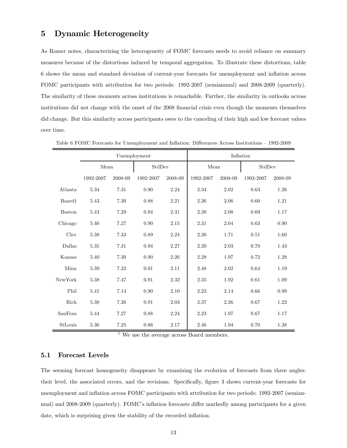# 5 Dynamic Heterogeneity

As Romer notes, characterizing the heterogeneity of FOMC forecasts needs to avoid reliance on summary measures because of the distortions induced by temporal aggregation. To illustrate these distortions, table 6 shows the mean and standard deviation of current-year forecasts for unemployment and inflation across FOMC participants with attribution for two periods: 1992-2007 (semiannual) and 2008-2009 (quarterly). The similarity of these moments across institutions is remarkable. Further, the similarity in outlooks across institutions did not change with the onset of the 2008 financial crisis even though the moments themselves did change. But this similarity across participants owes to the canceling of their high and low forecast values over time.

|                    |           | Unemployment |           |         | Inflation |         |           |         |  |
|--------------------|-----------|--------------|-----------|---------|-----------|---------|-----------|---------|--|
|                    | Mean      |              | StdDev    |         | Mean      |         | StdDev    |         |  |
|                    | 1992-2007 | 2008-09      | 1992-2007 | 2008-09 | 1992-2007 | 2008-09 | 1992-2007 | 2008-09 |  |
| Atlanta            | 5.34      | $7.31\,$     | 0.90      | 2.24    | 2.34      | 2.02    | 0.63      | 1.26    |  |
| Board <sup>†</sup> | 5.43      | 7.30         | 0.88      | 2.21    | 2.26      | 2.06    | 0.60      | 1.21    |  |
| <b>Boston</b>      | 5.43      | 7.29         | 0.94      | 2.31    | 2.38      | 2.08    | 0.69      | 1.17    |  |
| Chicago            | 5.40      | 7.27         | 0.90      | 2.15    | $2.31\,$  | 2.04    | 0.63      | 0.90    |  |
| Clev               | 5.38      | 7.33         | 0.89      | 2.24    | 2.26      | 1.71    | 0.51      | 1.60    |  |
| Dallas             | 5.35      | 7.31         | 0.94      | 2.27    | 2.20      | 2.03    | 0.70      | 1.43    |  |
| Kansas             | 5.40      | 7.30         | 0.90      | 2.26    | 2.28      | 1.97    | 0.72      | 1.28    |  |
| Minn               | 5.39      | 7.23         | 0.91      | 2.11    | 2.48      | 2.02    | 0.64      | 1.19    |  |
| NewYork            | 5.38      | 7.47         | 0.91      | 2.32    | 2.35      | 1.92    | 0.61      | 1.09    |  |
| Phil               | 5.41      | 7.14         | 0.90      | 2.10    | 2.23      | 2.14    | 0.66      | 0.99    |  |
| Rich               | 5.38      | 7.26         | 0.91      | 2.03    | 2.37      | 2.26    | 0.67      | 1.22    |  |
| SanFran            | 5.44      | 7.27         | 0.88      | 2.24    | 2.23      | 1.97    | 0.67      | 1.17    |  |
| StLouis            | 5.36      | 7.25         | 0.86      | 2.17    | 2.46      | 1.94    | 0.70      | 1.38    |  |

Table 6 FOMC Forecasts for Unemployment and Inflation: Differences Across Institutions — 1992-2009

† We use the average across Board members.

#### 5.1 Forecast Levels

The seeming forecast homogeneity disappears by examining the evolution of forecasts from three angles: their level, the associated errors, and the revisions. Specifically, figure 3 shows current-year forecasts for unemployment and inflation across FOMC participants with attribution for two periods: 1992-2007 (semiannual) and 2008-2009 (quarterly). FOMC's inflation forecasts differ markedly among participants for a given date, which is surprising given the stability of the recorded inflation.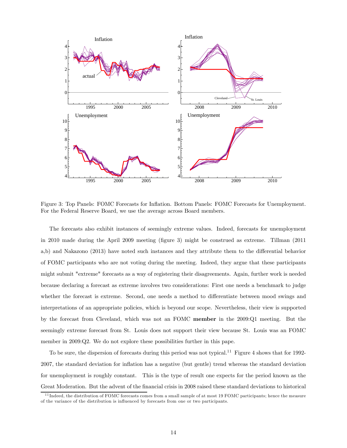

Figure 3: Top Panels: FOMC Forecasts for Inflation. Bottom Panels: FOMC Forecasts for Unemployment. For the Federal Reserve Board, we use the average across Board members.

The forecasts also exhibit instances of seemingly extreme values. Indeed, forecasts for unemployment in 2010 made during the April 2009 meeting (figure 3) might be construed as extreme. Tillman (2011 a,b) and Nakazono (2013) have noted such instances and they attribute them to the differential behavior of FOMC participants who are not voting during the meeting. Indeed, they argue that these participants might submit "extreme" forecasts as a way of registering their disagreements. Again, further work is needed because declaring a forecast as extreme involves two considerations: First one needs a benchmark to judge whether the forecast is extreme. Second, one needs a method to differentiate between mood swings and interpretations of an appropriate policies, which is beyond our scope. Nevertheless, their view is supported by the forecast from Cleveland, which was not an FOMC member in the 2009:Q1 meeting. But the seemingly extreme forecast from St. Louis does not support their view because St. Louis was an FOMC member in 2009:Q2. We do not explore these possibilities further in this pape.

To be sure, the dispersion of forecasts during this period was not typical.<sup>11</sup> Figure 4 shows that for 1992-2007, the standard deviation for inflation has a negative (but gentle) trend whereas the standard deviation for unemployment is roughly constant. This is the type of result one expects for the period known as the Great Moderation. But the advent of the financial crisis in 2008 raised these standard deviations to historical

<sup>&</sup>lt;sup>11</sup> Indeed, the distribution of FOMC forecasts comes from a small sample of at most 19 FOMC participants; hence the measure of the variance of the distribution is influenced by forecasts from one or two participants.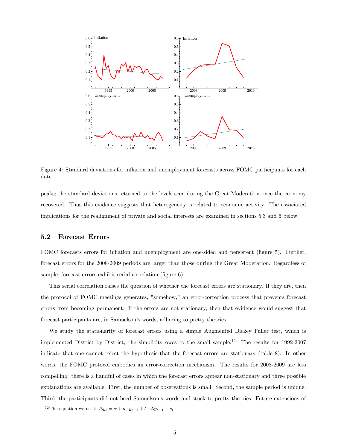

Figure 4: Standard deviations for inflation and unemployment forecasts across FOMC participants for each date

peaks; the standard deviations returned to the levels seen during the Great Moderation once the economy recovered. Thus this evidence suggests that heterogeneity is related to economic activity. The associated implications for the realignment of private and social interests are examined in sections 5.3 and 6 below.

#### 5.2 Forecast Errors

FOMC forecasts errors for inflation and unemployment are one-sided and persistent (figure 5). Further, forecast errors for the 2008-2009 periods are larger than those during the Great Moderation. Regardless of sample, forecast errors exhibit serial correlation (figure 6).

This serial correlation raises the question of whether the forecast errors are stationary. If they are, then the protocol of FOMC meetings generates, "somehow," an error-correction process that prevents forecast errors from becoming permanent. If the errors are not stationary, then that evidence would suggest that forecast participants are, in Samuelson's words, adhering to pretty theories.

We study the stationarity of forecast errors using a simple Augmented Dickey Fuller test, which is implemented District by District; the simplicity owes to the small sample.<sup>12</sup> The results for 1992-2007 indicate that one cannot reject the hypothesis that the forecast errors are stationary (table 8). In other words, the FOMC protocol embodies an error-correction mechanism. The results for 2008-2009 are less compelling: there is a handful of cases in which the forecast errors appear non-stationary and three possible explanations are available. First, the number of observations is small. Second, the sample period is unique. Third, the participants did not heed Samuelson's words and stuck to pretty theories. Future extensions of

<sup>&</sup>lt;sup>12</sup>The equation we use is  $\Delta y_t = \alpha + \mu \cdot y_{t-1} + \delta \cdot \Delta y_{t-1} + e_t$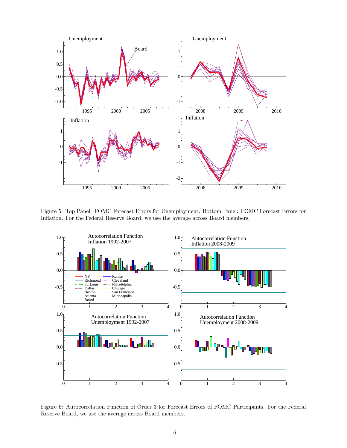

Figure 5: Top Panel: FOMC Forecast Errors for Unemployment. Bottom Panel: FOMC Forecast Errors for Inflation. For the Federal Reserve Board, we use the average across Board members.



Figure 6: Autocorrelation Function of Order 3 for Forecast Errors of FOMC Participants. For the Federal Reserve Board, we use the average across Board members.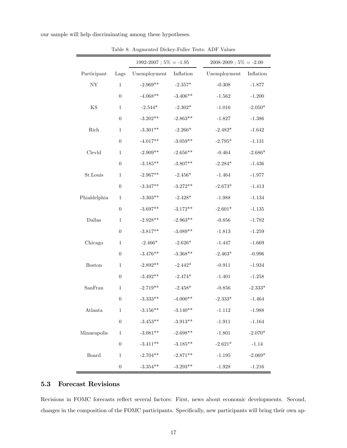our sample will help discriminating among these hypotheses.

|               |                  | $1992-2007$ ; $5\% = -1.95$ |            | $2008-2009$ ; $5\% = -2.00$ |           |
|---------------|------------------|-----------------------------|------------|-----------------------------|-----------|
| Participant   | Lags             | Unemployment                | Inflation  | Unemployment                | Inflation |
| ${\rm NY}$    | $\mathbf{1}$     | $-2.969**$                  | $-2.357*$  | $-0.308$                    | $-1.877$  |
|               | $\boldsymbol{0}$ | $-4.068**$                  | $-3.406**$ | $-1.562$                    | $-1.200$  |
| $\mathbf{KS}$ | $\mathbf{1}$     | $-2.544*$                   | $-2.302*$  | $-1.016$                    | $-2.050*$ |
|               | $\boldsymbol{0}$ | $-3.202**$                  | $-2.863**$ | $-1.827$                    | $-1.386$  |
| Rich          | $\mathbf{1}$     | $-3.301**$                  | $-2.266*$  | $-2.482*$                   | $-1.642$  |
|               | $\boldsymbol{0}$ | $-4.017**$                  | $-3.059**$ | $-2.795*$                   | $-1.131$  |
| Clevld        | $\mathbf{1}$     | $-2.909**$                  | $-2.656**$ | $-0.464$                    | $-2.686*$ |
|               | $\boldsymbol{0}$ | $-3.185**$                  | $-3.807**$ | $-2.284*$                   | $-1.436$  |
| St.Louis      | $\mathbf{1}$     | $-2.967**$                  | $-2.456*$  | $-1.464$                    | $-1.977$  |
|               | $\boldsymbol{0}$ | $-3.347**$                  | $-3.272**$ | $-2.673*$                   | $-1.413$  |
| Phialdelphia  | $\mathbf{1}$     | $-3.303**$                  | $-2.428*$  | $-1.988$                    | $-1.134$  |
|               | $\overline{0}$   | $-3.697**$                  | $-3.172**$ | $-2.601*$                   | $-1.135$  |
| Dallas        | $\mathbf{1}$     | $-2.928**$                  | $-2.963**$ | $-0.856$                    | $-1.782$  |
|               | $\boldsymbol{0}$ | $-3.817**$                  | $-3.089**$ | $-1.813$                    | $-1.259$  |
| Chicago       | $\mathbf{1}$     | $-2.466*$                   | $-2.626*$  | $-1.447$                    | $-1.669$  |
|               | $\theta$         | $-3.476**$                  | $-3.368**$ | $-2.463*$                   | $-0.996$  |
| <b>Boston</b> | $\mathbf{1}$     | $-2.892**$                  | $-2.442*$  | $-0.911$                    | $-1.934$  |
|               | $\boldsymbol{0}$ | $-3.492**$                  | $-2.474*$  | $-1.401$                    | $-1.258$  |
| SanFran       | $\mathbf{1}$     | $-2.719**$                  | $-2.458*$  | $-0.856$                    | $-2.333*$ |
|               | $\overline{0}$   | $-3.333**$                  | $-4.000**$ | $-2.333*$                   | $-1.464$  |
| Atlanta       | $\,1$            | $-3.156**$                  | $-3.140**$ | $-1.112$                    | $-1.988$  |
|               | $\boldsymbol{0}$ | $-3.453**$                  | $-3.913**$ | $-1.911$                    | $-1.164$  |
| Minneapolis   | $\mathbf{1}$     | $-3.081**$                  | $-2.698**$ | $-1.801$                    | $-2.070*$ |
|               | $\boldsymbol{0}$ | $-3.411**$                  | $-3.185**$ | $-2.621*$                   | $-1.14$   |
| Board         | 1                | $-2.704**$                  | $-2.871**$ | $-1.195$                    | $-2.069*$ |
|               | $\boldsymbol{0}$ | $-3.354***$                 | $-3.293**$ | $-1.928$                    | $-1.216$  |

Table 8: Augmented Dickey-Fuller Tests: ADF Values

### 5.3 Forecast Revisions

Revisions in FOMC forecasts reflect several factors: First, news about economic developments. Second, changes in the composition of the FOMC participants. Specifically, new participants will bring their own ap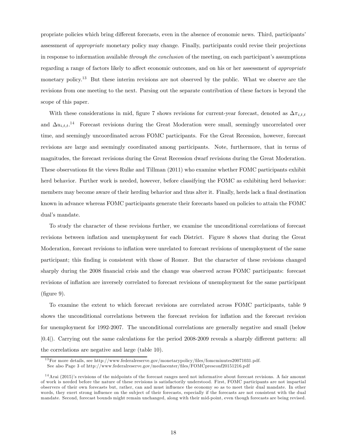propriate policies which bring different forecasts, even in the absence of economic news. Third, participants' assessment of appropriate monetary policy may change. Finally, participants could revise their projections in response to information available through the conclusion of the meeting, on each participant's assumptions regarding a range of factors likely to affect economic outcomes, and on his or her assessment of appropriate monetary policy.<sup>13</sup> But these interim revisions are not observed by the public. What we observe are the revisions from one meeting to the next. Parsing out the separate contribution of these factors is beyond the scope of this paper.

With these considerations in mid, figure 7 shows revisions for current-year forecast, denoted as  $\Delta \pi_{i,t}$ and  $\Delta u_{i,t,t}$ .<sup>14</sup> Forecast revisions during the Great Moderation were small, seemingly uncorrelated over time, and seemingly uncoordinated across FOMC participants. For the Great Recession, however, forecast revisions are large and seemingly coordinated among participants. Note, furthermore, that in terms of magnitudes, the forecast revisions during the Great Recession dwarf revisions during the Great Moderation. These observations fit the views Rulke and Tillman (2011) who examine whether FOMC participants exhibit herd behavior. Further work is needed, however, before classifying the FOMC as exhibiting herd behavior: members may become aware of their herding behavior and thus alter it. Finally, herds lack a final destination known in advance whereas FOMC participants generate their forecasts based on policies to attain the FOMC dual's mandate.

To study the character of these revisions further, we examine the unconditional correlations of forecast revisions between inflation and unemployment for each District. Figure 8 shows that during the Great Moderation, forecast revisions to inflation were unrelated to forecast revisions of unemployment of the same participant; this finding is consistent with those of Romer. But the character of these revisions changed sharply during the 2008 financial crisis and the change was observed across FOMC participants: forecast revisions of inflation are inversely correlated to forecast revisions of unemployment for the same participant  $(figure 9)$ .

To examine the extent to which forecast revisions are correlated across FOMC participants, table 9 shows the unconditional correlations between the forecast revision for inflation and the forecast revision for unemployment for 1992-2007. The unconditional correlations are generally negative and small (below |0.4|). Carrying out the same calculations for the period 2008-2009 reveals a sharply different pattern: all the correlations are negative and large (table 10).

<sup>1 3</sup>For more details, see http://www.federalreserve.gov/monetarypolicy/files/fomcminutes20071031.pdf.

See also Page 3 of http://www.federalreserve.gov/mediacenter/files/FOMCpresconf20151216.pdf

 $14$ Arai (2015)'s revisions of the midpoints of the forecast ranges need not informative about forecast revisions. A fair amount of work is needed before the nature of these revisions is satisfactorily understood. First, FOMC participants are not impartial observers of their own forecasts but, rather, can and must influence the economy so as to meet their dual mandate. In other words, they exert strong influence on the subject of their forecasts, especially if the forecasts are not consistent with the dual mandate. Second, forecast bounds might remain unchanged, along with their mid-point, even though forecasts are being revised.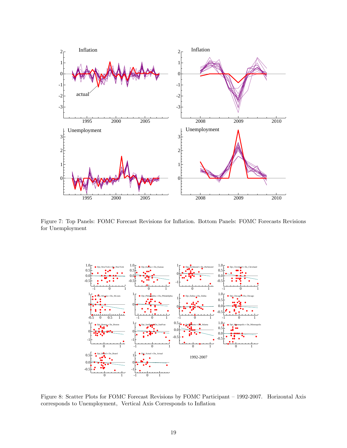

Figure 7: Top Panels: FOMC Forecast Revisions for Inflation. Bottom Panels: FOMC Forecasts Revisions for Unemployment



Figure 8: Scatter Plots for FOMC Forecast Revisions by FOMC Participant — 1992-2007. Horizontal Axis corresponds to Unemployment, Vertical Axis Corresponds to Inflation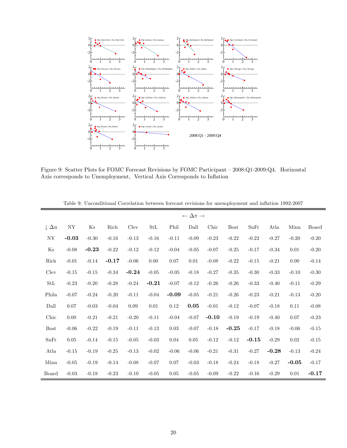

Figure 9: Scatter Plots for FOMC Forecast Revisions by FOMC Participant — 2008:Q1-2009:Q4. Horizontal Axis corresponds to Unemployment, Vertical Axis Corresponds to Inflation

|                       |          |         |         |          |                      |         | $\leftarrow \Delta \pi \rightarrow$ |         |             |         |         |         |         |
|-----------------------|----------|---------|---------|----------|----------------------|---------|-------------------------------------|---------|-------------|---------|---------|---------|---------|
| $\downarrow \Delta u$ | NY       | Ks      | Rich    | Clev     | $\operatorname{StL}$ | Phil    | Dall                                | Chic    | <b>Bost</b> | SnFr    | Atla    | Minn    | Board   |
| NY                    | $-0.03$  | $-0.30$ | $-0.16$ | $-0.13$  | $-0.16$              | $-0.11$ | $-0.09$                             | $-0.23$ | $-0.22$     | $-0.22$ | $-0.27$ | $-0.20$ | $-0.20$ |
| $\rm Ks$              | $-0.08$  | $-0.23$ | $-0.22$ | $-0.12$  | $-0.12$              | $-0.04$ | $-0.05$                             | $-0.07$ | $-0.25$     | $-0.17$ | $-0.34$ | 0.01    | $-0.20$ |
| Rich                  | $-0.01$  | $-0.14$ | $-0.17$ | $-0.06$  | 0.00                 | 0.07    | $0.01\,$                            | $-0.08$ | $-0.22$     | $-0.15$ | $-0.21$ | 0.00    | $-0.14$ |
| Clev                  | $-0.15$  | $-0.15$ | $-0.34$ | $-0.24$  | $-0.05$              | $-0.05$ | $-0.18$                             | $-0.27$ | $-0.35$     | $-0.30$ | $-0.33$ | $-0.10$ | $-0.30$ |
| StL                   | $-0.23$  | $-0.20$ | $-0.28$ | $-0.24$  | $-0.21$              | $-0.07$ | $-0.12$                             | $-0.26$ | $-0.26$     | $-0.33$ | $-0.40$ | $-0.11$ | $-0.29$ |
| Phila                 | $-0.07$  | $-0.24$ | $-0.20$ | $-0.11$  | $-0.04$              | $-0.09$ | $-0.05$                             | $-0.21$ | $-0.26$     | $-0.23$ | $-0.21$ | $-0.13$ | $-0.20$ |
| Dall                  | 0.07     | $-0.03$ | $-0.04$ | $0.09\,$ | 0.01                 | 0.12    | 0.05                                | $-0.01$ | $-0.12$     | $-0.07$ | $-0.18$ | 0.11    | $-0.08$ |
| Chic                  | $0.00\,$ | $-0.21$ | $-0.21$ | $-0.20$  | $-0.11$              | $-0.04$ | $-0.07$                             | $-0.10$ | $-0.19$     | $-0.19$ | $-0.40$ | 0.07    | $-0.23$ |
| <b>Bost</b>           | $-0.06$  | $-0.22$ | $-0.19$ | $-0.11$  | $-0.13$              | 0.03    | $-0.07$                             | $-0.18$ | $-0.25$     | $-0.17$ | $-0.18$ | $-0.06$ | $-0.15$ |
| SnFr                  | $0.05\,$ | $-0.14$ | $-0.15$ | $-0.05$  | $-0.03$              | 0.04    | $0.05\,$                            | $-0.12$ | $-0.12$     | $-0.15$ | $-0.29$ | 0.02    | $-0.15$ |
| Atla                  | $-0.15$  | $-0.19$ | $-0.25$ | $-0.13$  | $-0.02$              | $-0.06$ | $-0.06$                             | $-0.21$ | $-0.31$     | $-0.27$ | $-0.28$ | $-0.13$ | $-0.24$ |
| Minn                  | $-0.05$  | $-0.19$ | $-0.14$ | $-0.08$  | $-0.07$              | 0.07    | $-0.03$                             | $-0.18$ | $-0.24$     | $-0.18$ | $-0.27$ | $-0.05$ | $-0.17$ |
| Board                 | $-0.03$  | $-0.18$ | $-0.23$ | $-0.10$  | $-0.05$              | 0.05    | $-0.05$                             | $-0.09$ | $-0.22$     | $-0.16$ | $-0.29$ | 0.01    | $-0.17$ |

Table 9: Unconditional Correlation between forecast revisions for unemployment and inflation 1992-2007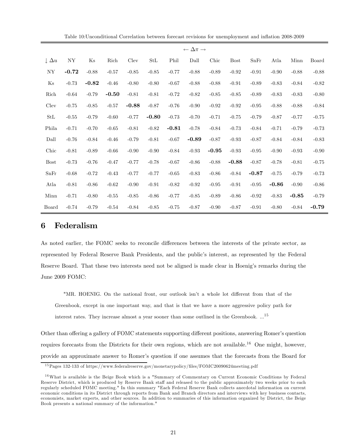|                       |            |         |         |         |                      |         | $\leftarrow \Delta \pi \rightarrow$ |         |             |         |         |         |         |
|-----------------------|------------|---------|---------|---------|----------------------|---------|-------------------------------------|---------|-------------|---------|---------|---------|---------|
| $\downarrow \Delta u$ | ${\rm NY}$ | Ks      | Rich    | Clev    | $\operatorname{StL}$ | Phil    | Dall                                | Chic    | <b>Bost</b> | SnFr    | Atla    | Minn    | Board   |
| NY                    | $-0.72$    | $-0.88$ | $-0.57$ | $-0.85$ | $-0.85$              | $-0.77$ | $-0.88$                             | $-0.89$ | $-0.92$     | $-0.91$ | $-0.90$ | $-0.88$ | $-0.88$ |
| Ks                    | $-0.73$    | $-0.82$ | $-0.46$ | $-0.80$ | $-0.80$              | $-0.67$ | $-0.88$                             | $-0.88$ | $-0.91$     | $-0.89$ | $-0.83$ | $-0.84$ | $-0.82$ |
| Rich                  | $-0.64$    | $-0.79$ | $-0.50$ | $-0.81$ | $-0.81$              | $-0.72$ | $-0.82$                             | $-0.85$ | $-0.85$     | $-0.89$ | $-0.83$ | $-0.83$ | $-0.80$ |
| Clev                  | $-0.75$    | $-0.85$ | $-0.57$ | $-0.88$ | $-0.87$              | $-0.76$ | $-0.90$                             | $-0.92$ | $-0.92$     | $-0.95$ | $-0.88$ | $-0.88$ | $-0.84$ |
| StL                   | $-0.55$    | $-0.79$ | $-0.60$ | $-0.77$ | $-0.80$              | $-0.73$ | $-0.70$                             | $-0.71$ | $-0.75$     | $-0.79$ | $-0.87$ | $-0.77$ | $-0.75$ |
| Phila                 | $-0.71$    | $-0.70$ | $-0.65$ | $-0.81$ | $-0.82$              | $-0.81$ | $-0.78$                             | $-0.84$ | $-0.73$     | $-0.84$ | $-0.71$ | $-0.79$ | $-0.73$ |
| Dall                  | $-0.76$    | $-0.84$ | $-0.46$ | $-0.79$ | $-0.81$              | $-0.67$ | $-0.89$                             | $-0.87$ | $-0.93$     | $-0.87$ | $-0.84$ | $-0.84$ | $-0.83$ |
| Chic                  | $-0.81$    | $-0.89$ | $-0.66$ | $-0.90$ | $-0.90$              | $-0.84$ | $-0.93$                             | $-0.95$ | $-0.93$     | $-0.95$ | $-0.90$ | $-0.93$ | $-0.90$ |
| <b>Bost</b>           | $-0.73$    | $-0.76$ | $-0.47$ | $-0.77$ | $-0.78$              | $-0.67$ | $-0.86$                             | $-0.88$ | $-0.88$     | $-0.87$ | $-0.78$ | $-0.81$ | $-0.75$ |
| SnFr                  | $-0.68$    | $-0.72$ | $-0.43$ | $-0.77$ | $-0.77$              | $-0.65$ | $-0.83$                             | $-0.86$ | $-0.84$     | $-0.87$ | $-0.75$ | $-0.79$ | $-0.73$ |
| Atla                  | $-0.81$    | $-0.86$ | $-0.62$ | $-0.90$ | $-0.91$              | $-0.82$ | $-0.92$                             | $-0.95$ | $-0.91$     | $-0.95$ | $-0.86$ | $-0.90$ | $-0.86$ |
| Minn                  | $-0.71$    | $-0.80$ | $-0.55$ | $-0.85$ | $-0.86$              | $-0.77$ | $-0.85$                             | $-0.89$ | $-0.86$     | $-0.92$ | $-0.83$ | $-0.85$ | $-0.79$ |
| Board                 | $-0.74$    | $-0.79$ | $-0.54$ | $-0.84$ | $-0.85$              | $-0.75$ | $-0.87$                             | $-0.90$ | $-0.87$     | $-0.91$ | $-0.80$ | $-0.84$ | $-0.79$ |

## 6 Federalism

As noted earlier, the FOMC seeks to reconcile differences between the interests of the private sector, as represented by Federal Reserve Bank Presidents, and the public's interest, as represented by the Federal Reserve Board. That these two interests need not be aligned is made clear in Hoenig's remarks during the June 2009 FOMC:

"MR. HOENIG. On the national front, our outlook isn't a whole lot different from that of the Greenbook, except in one important way, and that is that we have a more aggressive policy path for interest rates. They increase almost a year sooner than some outlined in the Greenbook. ...<sup>15</sup>

Other than offering a gallery of FOMC statements supporting different positions, answering Romer's question requires forecasts from the Districts for their own regions, which are not available.<sup>16</sup> One might, however, provide an approximate answer to Romer's question if one assumes that the forecasts from the Board for

<sup>1 5</sup>Pages 132-133 of https://www.federalreserve.gov/monetarypolicy/files/FOMC20090624meeting.pdf

<sup>&</sup>lt;sup>16</sup>What is available is the Beige Book which is a "Summary of Commentary on Current Economic Conditions by Federal Reserve District, which is produced by Reserve Bank staff and released to the public approximately two weeks prior to each regularly scheduled FOMC meeting." In this summary "Each Federal Reserve Bank collects anecdotal information on current economic conditions in its District through reports from Bank and Branch directors and interviews with key business contacts, economists, market experts, and other sources. In addition to summaries of this information organized by District, the Beige Book presents a national summary of the information."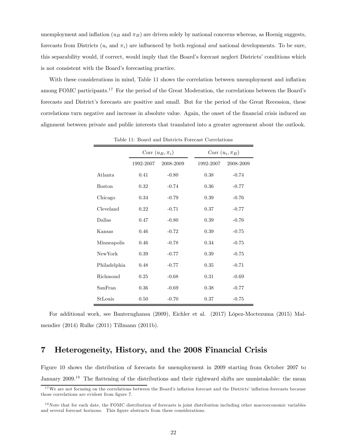unemployment and inflation ( $u_B$  and  $\pi_B$ ) are driven solely by national concerns whereas, as Hoenig suggests, forecasts from Districts ( $u_i$  and  $\pi_i$ ) are influenced by both regional and national developments. To be sure, this separability would, if correct, would imply that the Board's forecast neglect Districts' conditions which is not consistent with the Board's forecasting practice.

With these considerations in mind, Table 11 shows the correlation between unemployment and inflation among FOMC participants.<sup>17</sup> For the period of the Great Moderation, the correlations between the Board's forecasts and District's forecasts are positive and small. But for the period of the Great Recession, these correlations turn negative and increase in absolute value. Again, the onset of the financial crisis induced an alignment between private and public interests that translated into a greater agreement about the outlook.

|               |           | Corr $(u_B, \pi_i)$ |           | Corr $(u_i, \pi_B)$ |
|---------------|-----------|---------------------|-----------|---------------------|
|               | 1992-2007 | 2008-2009           | 1992-2007 | 2008-2009           |
| Atlanta       | 0.41      | $-0.80$             | 0.38      | $-0.74$             |
| <b>Boston</b> | 0.32      | $-0.74$             | 0.36      | $-0.77$             |
| Chicago       | 0.34      | $-0.79$             | 0.39      | $-0.76$             |
| Cleveland     | 0.22      | $-0.71$             | 0.37      | $-0.77$             |
| Dallas        | 0.47      | $-0.80$             | 0.39      | $-0.76$             |
| Kansas        | 0.46      | $-0.72$             | 0.39      | $-0.75$             |
| Minneapolis   | 0.46      | $-0.78$             | 0.34      | $-0.75$             |
| New York      | 0.39      | $-0.77$             | 0.39      | $-0.75$             |
| Philadelphia  | 0.48      | $-0.77$             | 0.35      | $-0.71$             |
| Richmond      | 0.25      | $-0.68$             | 0.31      | $-0.69$             |
| SanFran       | 0.36      | $-0.69$             | 0.38      | $-0.77$             |
| StLouis       | 0.50      | $-0.70$             | 0.37      | $-0.75$             |

Table 11: Board and Districts Forecast Correlations

For additional work, see Banternghansa (2009), Eichler et al. (2017) López-Moctezuma (2015) Malmendier (2014) Rulke (2011) Tillmann (2011b).

# 7 Heterogeneity, History, and the 2008 Financial Crisis

Figure 10 shows the distribution of forecasts for unemployment in 2009 starting from October 2007 to January 2009.<sup>18</sup> The flattening of the distributions and their rightward shifts are unmistakable: the mean

<sup>&</sup>lt;sup>17</sup>We are not focusing on the correlations between the Board's inflation forecast and the Districts' inflation forecasts because those correlations are evident from figure 7.

 $18$  Note that for each date, the FOMC distribution of forecasts is joint distribution including other macroeconomic variables and several forecast horizons. This figure abstracts from these considerations.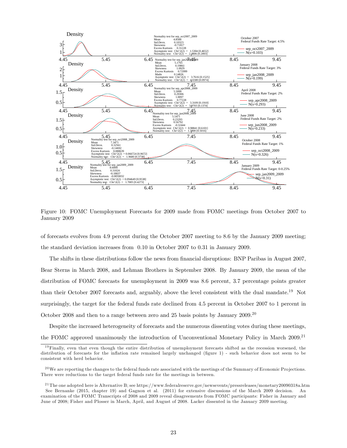

Figure 10: FOMC Unemployment Forecasts for 2009 made from FOMC meetings from October 2007 to January 2009

of forecasts evolves from 4.9 percent during the October 2007 meeting to 8.6 by the January 2009 meeting; the standard deviation increases from 0.10 in October 2007 to 0.31 in January 2009.

The shifts in these distributions follow the news from financial disruptions: BNP Paribas in August 2007, Bear Sterns in March 2008, and Lehman Brothers in September 2008. By January 2009, the mean of the distribution of FOMC forecasts for unemployment in 2009 was 8.6 percent, 3.7 percentage points greater than their October 2007 forecasts and, arguably, above the level consistent with the dual mandate.<sup>19</sup> Not surprisingly, the target for the federal funds rate declined from 4.5 percent in October 2007 to 1 percent in October 2008 and then to a range between zero and 25 basis points by January 2009.<sup>20</sup>

Despite the increased heterogeneity of forecasts and the numerous dissenting votes during these meetings, the FOMC approved unanimously the introduction of Unconventional Monetary Policy in March 2009.21

 $19$  Finally, even that even though the entire distribution of unemployment forecasts shifted as the recession worsened, the distribution of forecasts for the inflation rate remained largely unchanged (figure 1) - such behavior does not seem to be consistent with herd behavior.

 $^{20}$  We are reporting the changes to the federal funds rate associated with the meetings of the Summary of Economic Projections. There were reductions to the target federal funds rate for the meetings in between.

<sup>&</sup>lt;sup>21</sup>The one adopted here is Alternative B; see https://www.federalreserve.gov/newsevents/pressreleases/monetary20090318a.htm See Bernanke (2015, chapter 19) and Gagnon et al. (2011) for extensive discussions of the March 2009 decision. An examination of the FOMC Transcripts of 2008 and 2009 reveal disagreements from FOMC participants: Fisher in January and June of 2008; Fisher and Plosser in March, April, and August of 2008. Lacker dissented in the January 2009 meeting.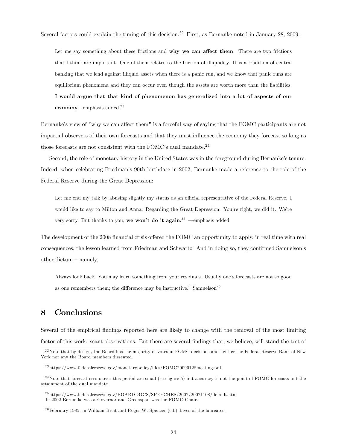Several factors could explain the timing of this decision.<sup>22</sup> First, as Bernanke noted in January 28, 2009:

Let me say something about these frictions and why we can affect them. There are two frictions that I think are important. One of them relates to the friction of illiquidity. It is a tradition of central banking that we lend against illiquid assets when there is a panic run, and we know that panic runs are equilibrium phenomena and they can occur even though the assets are worth more than the liabilities. I would argue that that kind of phenomenon has generalized into a lot of aspects of our economy—emphasis added. $23$ 

Bernanke's view of "why we can affect them" is a forceful way of saying that the FOMC participants are not impartial observers of their own forecasts and that they must influence the economy they forecast so long as those forecasts are not consistent with the FOMC's dual mandate.<sup>24</sup>

Second, the role of monetary history in the United States was in the foreground during Bernanke's tenure. Indeed, when celebrating Friedman's 90th birthdate in 2002, Bernanke made a reference to the role of the Federal Reserve during the Great Depression:

Let me end my talk by abusing slightly my status as an official representative of the Federal Reserve. I would like to say to Milton and Anna: Regarding the Great Depression. You're right, we did it. We're very sorry. But thanks to you, we won't do it again.<sup>25</sup> —emphasis added

The development of the 2008 financial crisis offered the FOMC an opportunity to apply, in real time with real consequences, the lesson learned from Friedman and Schwartz. And in doing so, they confirmed Samuelson's other dictum — namely,

Always look back. You may learn something from your residuals. Usually one's forecasts are not so good as one remembers them; the difference may be instructive." Samuelson<sup>26</sup>

## 8 Conclusions

Several of the empirical findings reported here are likely to change with the removal of the most limiting factor of this work: scant observations. But there are several findings that, we believe, will stand the test of

 $^{22}$ Note that by design, the Board has the majority of votes in FOMC decisions and neither the Federal Reserve Bank of New York nor any the Board members dissented.

<sup>&</sup>lt;sup>23</sup>https://www.federalreserve.gov/monetarypolicy/files/FOMC20090128meeting.pdf

 $24$ Note that forecast errors over this period are small (see figure 5) but accuracy is not the point of FOMC forecasts but the attainment of the dual mandate.

<sup>&</sup>lt;sup>25</sup>https://www.federalreserve.gov/BOARDDOCS/SPEECHES/2002/20021108/default.htm In 2002 Bernanke was a Governor and Greenspan was the FOMC Chair.

 $26$ February 1985, in William Breit and Roger W. Spencer (ed.) Lives of the laureates.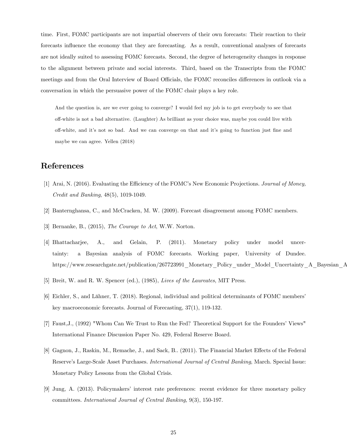time. First, FOMC participants are not impartial observers of their own forecasts: Their reaction to their forecasts influence the economy that they are forecasting. As a result, conventional analyses of forecasts are not ideally suited to assessing FOMC forecasts. Second, the degree of heterogeneity changes in response to the alignment between private and social interests. Third, based on the Transcripts from the FOMC meetings and from the Oral Interview of Board Officials, the FOMC reconciles differences in outlook via a conversation in which the persuasive power of the FOMC chair plays a key role.

And the question is, are we ever going to converge? I would feel my job is to get everybody to see that off-white is not a bad alternative. (Laughter) As brilliant as your choice was, maybe you could live with off-white, and it's not so bad. And we can converge on that and it's going to function just fine and maybe we can agree. Yellen (2018)

# References

- [1] Arai, N. (2016). Evaluating the Efficiency of the FOMC's New Economic Projections. Journal of Money, Credit and Banking, 48(5), 1019-1049.
- [2] Banternghansa, C., and McCracken, M. W. (2009). Forecast disagreement among FOMC members.
- [3] Bernanke, B., (2015), The Courage to Act, W.W. Norton.
- [4] Bhattacharjee, A., and Gelain, P. (2011). Monetary policy under model uncertainty: a Bayesian analysis of FOMC forecasts. Working paper, University of Dundee. https://www.researchgate.net/publication/267723991\_Monetary\_Policy\_under\_Model\_Uncertainty\_A\_Bayesian\_A
- [5] Breit, W. and R. W. Spencer (ed.), (1985), Lives of the Laureates, MIT Press.
- [6] Eichler, S., and Lähner, T. (2018). Regional, individual and political determinants of FOMC members' key macroeconomic forecasts. Journal of Forecasting, 37(1), 119-132.
- [7] Faust,J., (1992) "Whom Can We Trust to Run the Fed? Theoretical Support for the Founders' Views" International Finance Discussion Paper No. 429, Federal Reserve Board.
- [8] Gagnon, J., Raskin, M., Remache, J., and Sack, B.. (2011). The Financial Market Effects of the Federal Reserve's Large-Scale Asset Purchases. International Journal of Central Banking, March. Special Issue: Monetary Policy Lessons from the Global Crisis.
- [9] Jung, A. (2013). Policymakers' interest rate preferences: recent evidence for three monetary policy committees. International Journal of Central Banking, 9(3), 150-197.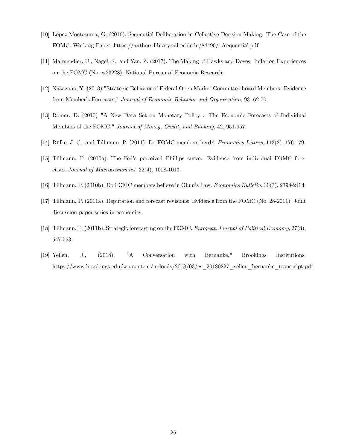- [10] López-Moctezuma, G. (2016). Sequential Deliberation in Collective Decision-Making: The Case of the FOMC. Working Paper. https://authors.library.caltech.edu/84490/1/sequential.pdf
- [11] Malmendier, U., Nagel, S., and Yan, Z. (2017). The Making of Hawks and Doves: Inflation Experiences on the FOMC (No. w23228). National Bureau of Economic Research.
- [12] Nakazono, Y. (2013) "Strategic Behavior of Federal Open Market Committee board Members: Evidence from Member's Forecasts," Journal of Economic Behavior and Organization, 93, 62-70.
- [13] Romer, D. (2010) "A New Data Set on Monetary Policy : The Economic Forecasts of Individual Members of the FOMC," Journal of Money, Credit, and Banking, 42, 951-957.
- [14] Rülke, J. C., and Tillmann, P. (2011). Do FOMC members herd?. Economics Letters, 113(2), 176-179.
- [15] Tillmann, P. (2010a). The Fed's perceived Phillips curve: Evidence from individual FOMC forecasts. Journal of Macroeconomics, 32(4), 1008-1013.
- [16] Tillmann, P. (2010b). Do FOMC members believe in Okun's Law. Economics Bulletin, 30(3), 2398-2404.
- [17] Tillmann, P. (2011a). Reputation and forecast revisions: Evidence from the FOMC (No. 28-2011). Joint discussion paper series in economics.
- [18] Tillmann, P. (2011b). Strategic forecasting on the FOMC. European Journal of Political Economy, 27(3), 547-553.
- [19] Yellen, J., (2018), "A Conversation with Bernanke," Brookings Institutions: https://www.brookings.edu/wp-content/uploads/2018/03/es\_20180227\_yellen\_bernanke\_transcript.pdf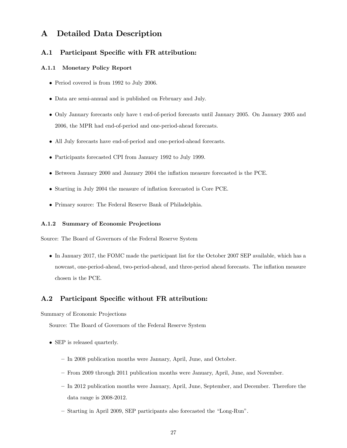## A Detailed Data Description

#### A.1 Participant Specific with FR attribution:

#### A.1.1 Monetary Policy Report

- Period covered is from 1992 to July 2006.
- Data are semi-annual and is published on February and July.
- Only January forecasts only have t end-of-period forecasts until January 2005. On January 2005 and 2006, the MPR had end-of-period and one-period-ahead forecasts.
- All July forecasts have end-of-period and one-period-ahead forecasts.
- Participants forecasted CPI from January 1992 to July 1999.
- Between January 2000 and January 2004 the inflation measure forecasted is the PCE.
- Starting in July 2004 the measure of inflation forecasted is Core PCE.
- Primary source: The Federal Reserve Bank of Philadelphia.

#### A.1.2 Summary of Economic Projections

Source: The Board of Governors of the Federal Reserve System

• In January 2017, the FOMC made the participant list for the October 2007 SEP available, which has a nowcast, one-period-ahead, two-period-ahead, and three-period ahead forecasts. The inflation measure chosen is the PCE.

#### A.2 Participant Specific without FR attribution:

Summary of Economic Projections

Source: The Board of Governors of the Federal Reserve System

- SEP is released quarterly.
	- In 2008 publication months were January, April, June, and October.
	- From 2009 through 2011 publication months were January, April, June, and November.
	- In 2012 publication months were January, April, June, September, and December. Therefore the data range is 2008-2012.
	- Starting in April 2009, SEP participants also forecasted the "Long-Run".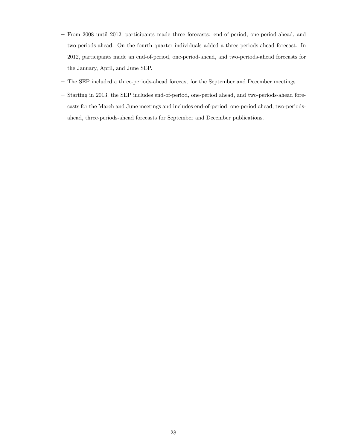- From 2008 until 2012, participants made three forecasts: end-of-period, one-period-ahead, and two-periods-ahead. On the fourth quarter individuals added a three-periods-ahead forecast. In 2012, participants made an end-of-period, one-period-ahead, and two-periods-ahead forecasts for the January, April, and June SEP.
- The SEP included a three-periods-ahead forecast for the September and December meetings.
- Starting in 2013, the SEP includes end-of-period, one-period ahead, and two-periods-ahead forecasts for the March and June meetings and includes end-of-period, one-period ahead, two-periodsahead, three-periods-ahead forecasts for September and December publications.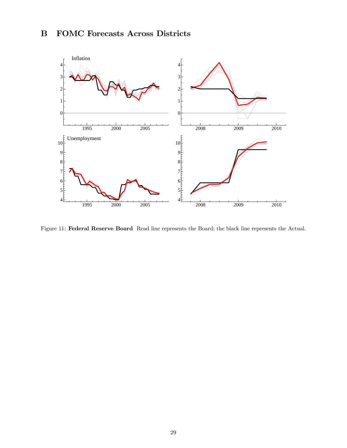# B FOMC Forecasts Across Districts



Figure 11: Federal Reserve Board Read line represents the Board; the black line represents the Actual.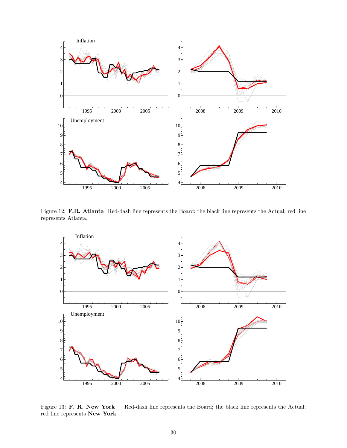

Figure 12: F.R. Atlanta Red-dash line represents the Board; the black line represents the Actual; red line represents Atlanta.



Figure 13: F. R. New York Red-dash line represents the Board; the black line represents the Actual; red line represents New York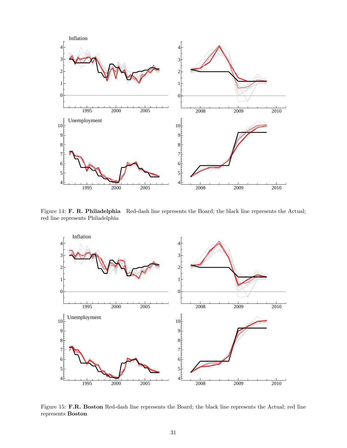

Figure 14: F. R. Philadelphia Red-dash line represents the Board; the black line represents the Actual; red line represents Philadelphia



Figure 15: F.R. Boston Red-dash line represents the Board; the black line represents the Actual; red line represents Boston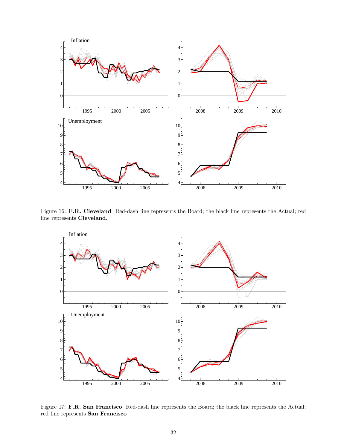

Figure 16: F.R. Cleveland Red-dash line represents the Board; the black line represents the Actual; red line represents Cleveland.



Figure 17: F.R. San Francisco Red-dash line represents the Board; the black line represents the Actual; red line represents San Francisco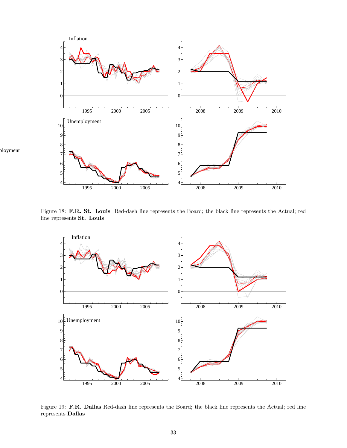

Figure 18: F.R. St. Louis Red-dash line represents the Board; the black line represents the Actual; red line represents St. Louis



Figure 19: F.R. Dallas Red-dash line represents the Board; the black line represents the Actual; red line represents Dallas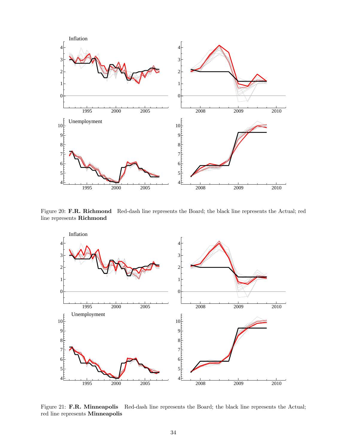

Figure 20: F.R. Richmond Red-dash line represents the Board; the black line represents the Actual; red line represents Richmond



Figure 21: F.R. Minneapolis Red-dash line represents the Board; the black line represents the Actual; red line represents Minneapolis